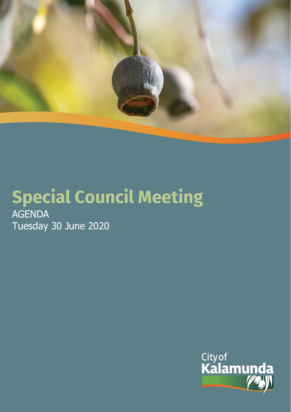

# **Special Council Meeting** AGENDA Tuesday 30 June 2020

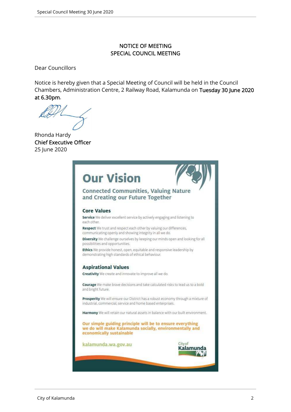#### NOTICE OF MEETING SPECIAL COUNCIL MEETING

Dear Councillors

Notice is hereby given that a Special Meeting of Council will be held in the Council Chambers, Administration Centre, 2 Railway Road, Kalamunda on Tuesday 30 June 2020 at 6.30pm.

Rhonda Hardy Chief Executive Officer 25 June 2020

| <b>Our Vision</b>                                                                                                                                |
|--------------------------------------------------------------------------------------------------------------------------------------------------|
| <b>Connected Communities, Valuing Nature</b><br>and Creating our Future Together                                                                 |
| <b>Core Values</b>                                                                                                                               |
| Service We deliver excellent service by actively engaging and listening to<br>each other.                                                        |
| Respect We trust and respect each other by valuing our differences,<br>communicating openly and showing integrity in all we do.                  |
| Diversity We challenge ourselves by keeping our minds open and looking for all<br>possibilities and opportunities.                               |
| Ethics We provide honest, open, equitable and responsive leadership by<br>demonstrating high standards of ethical behaviour.                     |
| <b>Aspirational Values</b>                                                                                                                       |
| Creativity We create and innovate to improve all we do.                                                                                          |
| Courage We make brave decisions and take calculated risks to lead us to a bold<br>and bright future.                                             |
| Prosperity We will ensure our District has a robust economy through a mixture of<br>industrial, commercial, service and home based enterprises.  |
| Harmony We will retain our natural assets in balance with our built environment.                                                                 |
| Our simple guiding principle will be to ensure everything<br>we do will make Kalamunda socially, environmentally and<br>economically sustainable |
| City of<br>kalamunda.wa.gov.au<br>Kalam                                                                                                          |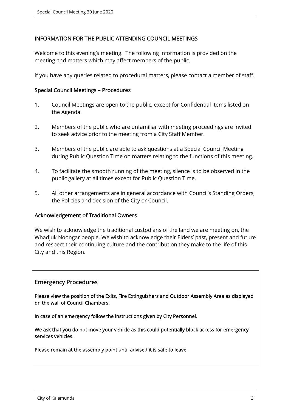#### INFORMATION FOR THE PUBLIC ATTENDING COUNCIL MEETINGS

Welcome to this evening's meeting. The following information is provided on the meeting and matters which may affect members of the public.

If you have any queries related to procedural matters, please contact a member of staff.

#### Special Council Meetings – Procedures

- 1. Council Meetings are open to the public, except for Confidential Items listed on the Agenda.
- 2. Members of the public who are unfamiliar with meeting proceedings are invited to seek advice prior to the meeting from a City Staff Member.
- 3. Members of the public are able to ask questions at a Special Council Meeting during Public Question Time on matters relating to the functions of this meeting.
- 4. To facilitate the smooth running of the meeting, silence is to be observed in the public gallery at all times except for Public Question Time.
- 5. All other arrangements are in general accordance with Council's Standing Orders, the Policies and decision of the City or Council.

#### Acknowledgement of Traditional Owners

We wish to acknowledge the traditional custodians of the land we are meeting on, the Whadjuk Noongar people. We wish to acknowledge their Elders' past, present and future and respect their continuing culture and the contribution they make to the life of this City and this Region.

#### Emergency Procedures

Please view the position of the Exits, Fire Extinguishers and Outdoor Assembly Area as displayed on the wall of Council Chambers.

In case of an emergency follow the instructions given by City Personnel.

We ask that you do not move your vehicle as this could potentially block access for emergency services vehicles.

Please remain at the assembly point until advised it is safe to leave.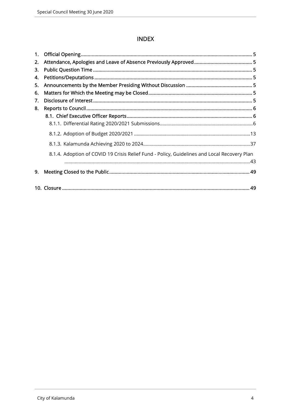#### **INDEX**

| 1. |                                                                                             |  |
|----|---------------------------------------------------------------------------------------------|--|
| 2. |                                                                                             |  |
| 3. |                                                                                             |  |
| 4. |                                                                                             |  |
| 5. |                                                                                             |  |
| 6. |                                                                                             |  |
| 7. |                                                                                             |  |
| 8. |                                                                                             |  |
|    |                                                                                             |  |
|    |                                                                                             |  |
|    |                                                                                             |  |
|    |                                                                                             |  |
|    | 8.1.4. Adoption of COVID 19 Crisis Relief Fund - Policy, Guidelines and Local Recovery Plan |  |
|    |                                                                                             |  |
| 9. |                                                                                             |  |
|    |                                                                                             |  |
|    |                                                                                             |  |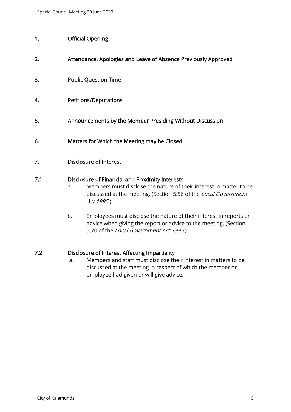#### 1. Official Opening

- 2. Attendance, Apologies and Leave of Absence Previously Approved
- 3. Public Question Time
- 4. Petitions/Deputations
- 5. Announcements by the Member Presiding Without Discussion
- 6. Matters for Which the Meeting may be Closed
- 7. Disclosure of Interest

#### 7.1. Disclosure of Financial and Proximity Interests

- a. Members must disclose the nature of their interest in matter to be discussed at the meeting. (Section 5.56 of the Local Government Act 1995.)
- b. Employees must disclose the nature of their interest in reports or advice when giving the report or advice to the meeting. (Section 5.70 of the Local Government Act 1995.)

#### 7.2. Disclosure of Interest Affecting Impartiality

a. Members and staff must disclose their interest in matters to be discussed at the meeting in respect of which the member or employee had given or will give advice.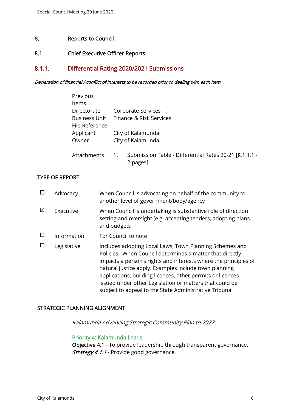#### 8. Reports to Council

#### 8.1. Chief Executive Officer Reports

#### 8.1.1. Differential Rating 2020/2021 Submissions

#### Declaration of financial / conflict of interests to be recorded prior to dealing with each item.

| Previous             |    |                                                                    |
|----------------------|----|--------------------------------------------------------------------|
| Items                |    |                                                                    |
| Directorate          |    | <b>Corporate Services</b>                                          |
| <b>Business Unit</b> |    | Finance & Risk Services                                            |
| File Reference       |    |                                                                    |
| Applicant            |    | City of Kalamunda                                                  |
| Owner                |    | City of Kalamunda                                                  |
|                      |    |                                                                    |
| Attachments          | 1. | Submission Table - Differential Rates 20-21 [8.1.1.1 -<br>2 pages] |
|                      |    |                                                                    |

#### TYPE OF REPORT

|   | Advocacy    | When Council is advocating on behalf of the community to<br>another level of government/body/agency                                                                                                                                                                                                                                                                                                                                |
|---|-------------|------------------------------------------------------------------------------------------------------------------------------------------------------------------------------------------------------------------------------------------------------------------------------------------------------------------------------------------------------------------------------------------------------------------------------------|
| ☑ | Executive   | When Council is undertaking is substantive role of direction<br>setting and oversight (e.g. accepting tenders, adopting plans<br>and budgets                                                                                                                                                                                                                                                                                       |
|   | Information | For Council to note                                                                                                                                                                                                                                                                                                                                                                                                                |
|   | Legislative | Includes adopting Local Laws, Town Planning Schemes and<br>Policies. When Council determines a matter that directly<br>impacts a person's rights and interests where the principles of<br>natural justice apply. Examples include town planning<br>applications, building licences, other permits or licences<br>issued under other Legislation or matters that could be<br>subject to appeal to the State Administrative Tribunal |

#### STRATEGIC PLANNING ALIGNMENT

Kalamunda Advancing Strategic Community Plan to 2027

#### Priority 4: Kalamunda Leads

Objective 4.1 - To provide leadership through transparent governance. Strategy 4.1.1 - Provide good governance.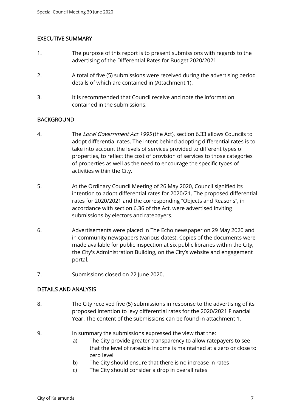#### EXECUTIVE SUMMARY

- 1. The purpose of this report is to present submissions with regards to the advertising of the Differential Rates for Budget 2020/2021.
- 2. A total of five (5) submissions were received during the advertising period details of which are contained in (Attachment 1).
- 3. It is recommended that Council receive and note the information contained in the submissions.

#### BACKGROUND

- 4. The Local Government Act 1995 (the Act), section 6.33 allows Councils to adopt differential rates. The intent behind adopting differential rates is to take into account the levels of services provided to different types of properties, to reflect the cost of provision of services to those categories of properties as well as the need to encourage the specific types of activities within the City.
- 5. At the Ordinary Council Meeting of 26 May 2020, Council signified its intention to adopt differential rates for 2020/21. The proposed differential rates for 2020/2021 and the corresponding "Objects and Reasons", in accordance with section 6.36 of the Act, were advertised inviting submissions by electors and ratepayers.
- 6. Advertisements were placed in The Echo newspaper on 29 May 2020 and in community newspapers (various dates). Copies of the documents were made available for public inspection at six public libraries within the City, the City's Administration Building, on the City's website and engagement portal.
- 7. Submissions closed on 22 June 2020.

#### DETAILS AND ANALYSIS

- 8. The City received five (5) submissions in response to the advertising of its proposed intention to levy differential rates for the 2020/2021 Financial Year. The content of the submissions can be found in attachment 1.
- 9. In summary the submissions expressed the view that the:
	- a) The City provide greater transparency to allow ratepayers to see that the level of rateable income is maintained at a zero or close to zero level
	- b) The City should ensure that there is no increase in rates
	- c) The City should consider a drop in overall rates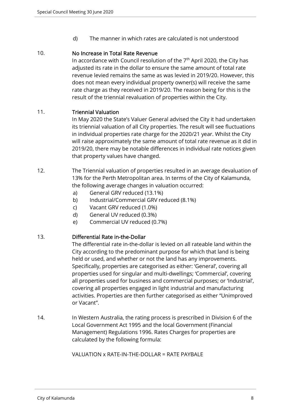d) The manner in which rates are calculated is not understood

#### 10. No Increase in Total Rate Revenue

In accordance with Council resolution of the  $7<sup>th</sup>$  April 2020, the City has adjusted its rate in the dollar to ensure the same amount of total rate revenue levied remains the same as was levied in 2019/20. However, this does not mean every individual property owner(s) will receive the same rate charge as they received in 2019/20. The reason being for this is the result of the triennial revaluation of properties within the City.

#### 11. Triennial Valuation

In May 2020 the State's Valuer General advised the City it had undertaken its triennial valuation of all City properties. The result will see fluctuations in individual properties rate charge for the 2020/21 year. Whilst the City will raise approximately the same amount of total rate revenue as it did in 2019/20, there may be notable differences in individual rate notices given that property values have changed.

- 12. The Triennial valuation of properties resulted in an average devaluation of 13% for the Perth Metropolitan area. In terms of the City of Kalamunda, the following average changes in valuation occurred:
	- a) General GRV reduced (13.1%)
	- b) Industrial/Commercial GRV reduced (8.1%)
	- c) Vacant GRV reduced (1.0%)
	- d) General UV reduced (0.3%)
	- e) Commercial UV reduced (0.7%)

#### 13. Differential Rate in-the-Dollar

The differential rate in-the-dollar is levied on all rateable land within the City according to the predominant purpose for which that land is being held or used, and whether or not the land has any improvements. Specifically, properties are categorised as either: 'General', covering all properties used for singular and multi-dwellings; 'Commercial', covering all properties used for business and commercial purposes; or 'Industrial', covering all properties engaged in light industrial and manufacturing activities. Properties are then further categorised as either "Unimproved or Vacant".

14. In Western Australia, the rating process is prescribed in Division 6 of the Local Government Act 1995 and the local Government (Financial Management) Regulations 1996. Rates Charges for properties are calculated by the following formula:

#### VALUATION x RATE-IN-THE-DOLLAR = RATE PAYBALE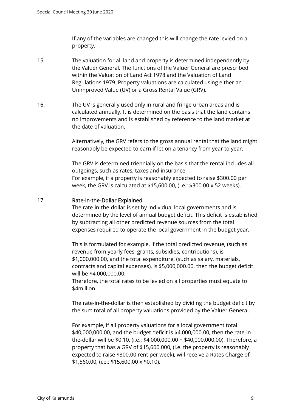If any of the variables are changed this will change the rate levied on a property.

- 15. The valuation for all land and property is determined independently by the Valuer General. The functions of the Valuer General are prescribed within the Valuation of Land Act 1978 and the Valuation of Land Regulations 1979. Property valuations are calculated using either an Unimproved Value (UV) or a Gross Rental Value (GRV).
- 16. The UV is generally used only in rural and fringe urban areas and is calculated annually. It is determined on the basis that the land contains no improvements and is established by reference to the land market at the date of valuation.

Alternatively, the GRV refers to the gross annual rental that the land might reasonably be expected to earn if let on a tenancy from year to year.

The GRV is determined triennially on the basis that the rental includes all outgoings, such as rates, taxes and insurance.

For example, if a property is reasonably expected to raise \$300.00 per week, the GRV is calculated at \$15,600.00, (i.e.: \$300.00 x 52 weeks).

#### 17. Rate-in-the-Dollar Explained

The rate-in-the-dollar is set by individual local governments and is determined by the level of annual budget deficit. This deficit is established by subtracting all other predicted revenue sources from the total expenses required to operate the local government in the budget year.

This is formulated for example, if the total predicted revenue, (such as revenue from yearly fees, grants, subsidies, contributions), is \$1,000,000.00, and the total expenditure, (such as salary, materials, contracts and capital expenses), is \$5,000,000.00, then the budget deficit will be \$4,000,000.00.

Therefore, the total rates to be levied on all properties must equate to \$4million.

The rate-in-the-dollar is then established by dividing the budget deficit by the sum total of all property valuations provided by the Valuer General.

For example, if all property valuations for a local government total \$40,000,000.00, and the budget deficit is \$4,000,000.00, then the rate-inthe-dollar will be \$0.10, (i.e.: \$4,000,000.00  $\div$  \$40,000,000.00). Therefore, a property that has a GRV of \$15,600.000, (i.e. the property is reasonably expected to raise \$300.00 rent per week), will receive a Rates Charge of \$1,560.00, (i.e.: \$15,600.00 x \$0.10).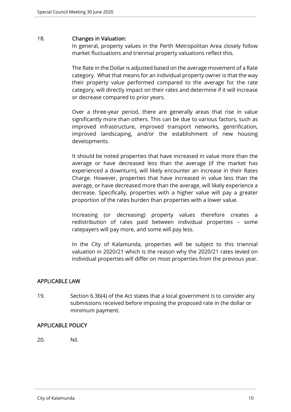#### 18. Changes in Valuation:

In general, property values in the Perth Metropolitan Area closely follow market fluctuations and triennial property valuations reflect this.

The Rate in the Dollar is adjusted based on the average movement of a Rate category. What that means for an individual property owner is that the way their property value performed compared to the average for the rate category, will directly impact on their rates and determine if it will increase or decrease compared to prior years.

Over a three-year period, there are generally areas that rise in value significantly more than others. This can be due to various factors, such as improved infrastructure, improved transport networks, gentrification, improved landscaping, and/or the establishment of new housing developments.

It should be noted properties that have increased in value more than the average or have decreased less than the average (if the market has experienced a downturn), will likely encounter an increase in their Rates Charge. However, properties that have increased in value less than the average, or have decreased more than the average, will likely experience a decrease. Specifically, properties with a higher value will pay a greater proportion of the rates burden than properties with a lower value.

Increasing (or decreasing) property values therefore creates a redistribution of rates paid between individual properties – some ratepayers will pay more, and some will pay less.

In the City of Kalamunda, properties will be subject to this triennial valuation in 2020/21 which is the reason why the 2020/21 rates levied on individual properties will differ on most properties from the previous year.

#### APPLICABLE LAW

19. Section 6.36(4) of the Act states that a local government is to consider any submissions received before imposing the proposed rate in the dollar or minimum payment.

#### APPLICABLE POLICY

20. Nil.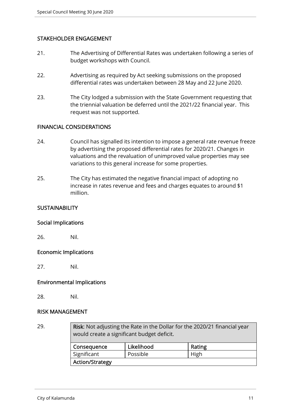#### STAKEHOLDER ENGAGEMENT

- 21. The Advertising of Differential Rates was undertaken following a series of budget workshops with Council.
- 22. Advertising as required by Act seeking submissions on the proposed differential rates was undertaken between 28 May and 22 June 2020.
- 23. The City lodged a submission with the State Government requesting that the triennial valuation be deferred until the 2021/22 financial year. This request was not supported.

#### FINANCIAL CONSIDERATIONS

- 24. Council has signalled its intention to impose a general rate revenue freeze by advertising the proposed differential rates for 2020/21. Changes in valuations and the revaluation of unimproved value properties may see variations to this general increase for some properties.
- 25. The City has estimated the negative financial impact of adopting no increase in rates revenue and fees and charges equates to around \$1 million.

#### **SUSTAINABILITY**

#### Social Implications

26. Nil.

#### Economic Implications

27. Nil.

#### Environmental Implications

28. Nil.

#### RISK MANAGEMENT

29. **Risk:** Not adjusting the Rate in the Dollar for the 2020/21 financial year would create a significant budget deficit. Consequence | Likelihood | Rating Significant | Possible | High Action/Strategy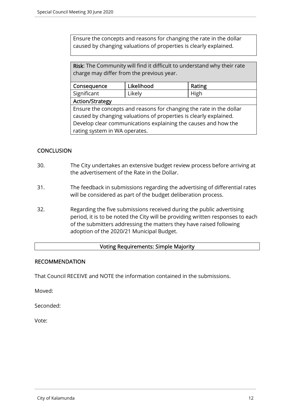Ensure the concepts and reasons for changing the rate in the dollar caused by changing valuations of properties is clearly explained.

Risk: The Community will find it difficult to understand why their rate charge may differ from the previous year.

| Consequence                                                         | Likelihood | Rating |  |  |
|---------------------------------------------------------------------|------------|--------|--|--|
| Significant                                                         | Likely     |        |  |  |
| <b>Action/Strategy</b>                                              |            |        |  |  |
| Ensure the concepts and reasons for changing the rate in the dollar |            |        |  |  |
| caused by changing valuations of properties is clearly explained.   |            |        |  |  |
| Develop clear communications explaining the causes and how the      |            |        |  |  |
| rating system in WA operates.                                       |            |        |  |  |

#### **CONCLUSION**

- 30. The City undertakes an extensive budget review process before arriving at the advertisement of the Rate in the Dollar.
- 31. The feedback in submissions regarding the advertising of differential rates will be considered as part of the budget deliberation process.
- 32. Regarding the five submissions received during the public advertising period, it is to be noted the City will be providing written responses to each of the submitters addressing the matters they have raised following adoption of the 2020/21 Municipal Budget.

#### Voting Requirements: Simple Majority

#### RECOMMENDATION

That Council RECEIVE and NOTE the information contained in the submissions.

Moved:

Seconded:

Vote: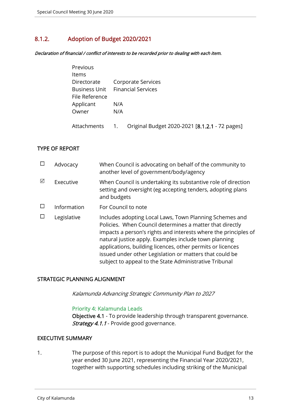### 8.1.2. Adoption of Budget 2020/2021

Declaration of financial / conflict of interests to be recorded prior to dealing with each item.

| Previous                                |     |                                                |
|-----------------------------------------|-----|------------------------------------------------|
| Items                                   |     |                                                |
| Directorate                             |     | Corporate Services                             |
| <b>Business Unit</b> Financial Services |     |                                                |
| File Reference                          |     |                                                |
| Applicant                               | N/A |                                                |
| Owner                                   | N/A |                                                |
|                                         |     |                                                |
| Attachments                             | 1.  | Original Budget 2020-2021 [8.1.2.1 - 72 pages] |

#### TYPE OF REPORT

|   | Advocacy    | When Council is advocating on behalf of the community to<br>another level of government/body/agency                                                                                                                                                                                                                                                                                                                                |
|---|-------------|------------------------------------------------------------------------------------------------------------------------------------------------------------------------------------------------------------------------------------------------------------------------------------------------------------------------------------------------------------------------------------------------------------------------------------|
| ⊠ | Executive   | When Council is undertaking its substantive role of direction<br>setting and oversight (eg accepting tenders, adopting plans<br>and budgets                                                                                                                                                                                                                                                                                        |
|   | Information | For Council to note                                                                                                                                                                                                                                                                                                                                                                                                                |
|   | Legislative | Includes adopting Local Laws, Town Planning Schemes and<br>Policies. When Council determines a matter that directly<br>impacts a person's rights and interests where the principles of<br>natural justice apply. Examples include town planning<br>applications, building licences, other permits or licences<br>issued under other Legislation or matters that could be<br>subject to appeal to the State Administrative Tribunal |

#### STRATEGIC PLANNING ALIGNMENT

Kalamunda Advancing Strategic Community Plan to 2027

#### Priority 4: Kalamunda Leads

Objective 4.1 - To provide leadership through transparent governance. Strategy 4.1.1 - Provide good governance.

#### EXECUTIVE SUMMARY

1. The purpose of this report is to adopt the Municipal Fund Budget for the year ended 30 June 2021, representing the Financial Year 2020/2021, together with supporting schedules including striking of the Municipal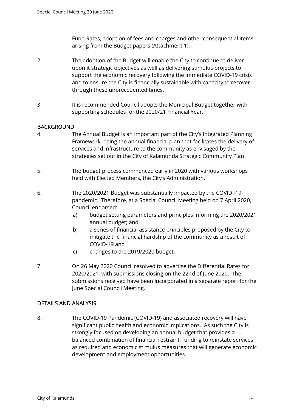Fund Rates, adoption of fees and charges and other consequential items arising from the Budget papers (Attachment 1).

- 2. The adoption of the Budget will enable the City to continue to deliver upon it strategic objectives as well as delivering stimulus projects to support the economic recovery following the immediate COVID-19 crisis and to ensure the City is financially sustainable with capacity to recover through these unprecedented times.
- 3. It is recommended Council adopts the Municipal Budget together with supporting schedules for the 2020/21 Financial Year.

#### BACKGROUND

- 4. The Annual Budget is an important part of the City's Integrated Planning Framework, being the annual financial plan that facilitates the delivery of services and infrastructure to the community as envisaged by the strategies set out in the City of Kalamunda Strategic Community Plan
- 5. The budget process commenced early in 2020 with various workshops held with Elected Members, the City's Administration.
- 6. The 2020/2021 Budget was substantially impacted by the COVID -19 pandemic. Therefore, at a Special Council Meeting held on 7 April 2020, Council endorsed:
	- a) budget setting parameters and principles informing the 2020/2021 annual budget; and
	- b) a series of financial assistance principles proposed by the City to mitigate the financial hardship of the community as a result of COVID-19 and
	- c) changes to the 2019/2020 budget.
- 7. On 26 May 2020 Council resolved to advertise the Differential Rates for 2020/2021, with submissions closing on the 22nd of June 2020. The submissions received have been incorporated in a separate report for the June Special Council Meeting.

#### DETAILS AND ANALYSIS

8. The COVID-19 Pandemic (COVID-19) and associated recovery will have significant public health and economic implications. As such the City is strongly focused on developing an annual budget that provides a balanced combination of financial restraint, funding to reinstate services as required and economic stimulus measures that will generate economic development and employment opportunities.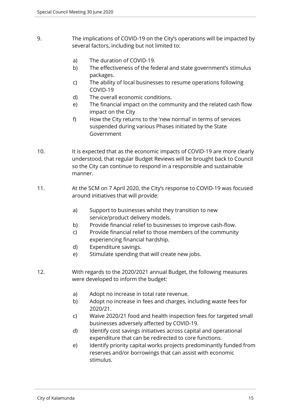- 9. The implications of COVID-19 on the City's operations will be impacted by several factors, including but not limited to:
	- a) The duration of COVID-19.
	- b) The effectiveness of the federal and state government's stimulus packages.
	- c) The ability of local businesses to resume operations following COVID-19
	- d) The overall economic conditions.
	- e) The financial impact on the community and the related cash flow impact on the City
	- f) How the City returns to the 'new normal' in terms of services suspended during various Phases initiated by the State Government
- 10. It is expected that as the economic impacts of COVID-19 are more clearly understood, that regular Budget Reviews will be brought back to Council so the City can continue to respond in a responsible and sustainable manner.
- 11. At the SCM on 7 April 2020, the City's response to COVID-19 was focused around initiatives that will provide:
	- a) Support to businesses whilst they transition to new service/product delivery models.
	- b) Provide financial relief to businesses to improve cash-flow.
	- c) Provide financial relief to those members of the community experiencing financial hardship.
	- d) Expenditure savings.
	- e) Stimulate spending that will create new jobs.
- 12. With regards to the 2020/2021 annual Budget, the following measures were developed to inform the budget:
	- a) Adopt no increase in total rate revenue.
	- b) Adopt no increase in fees and charges, including waste fees for 2020/21.
	- c) Waive 2020/21 food and health inspection fees for targeted small businesses adversely affected by COVID-19.
	- d) Identify cost savings initiatives across capital and operational expenditure that can be redirected to core functions.
	- e) Identify priority capital works projects predominantly funded from reserves and/or borrowings that can assist with economic stimulus.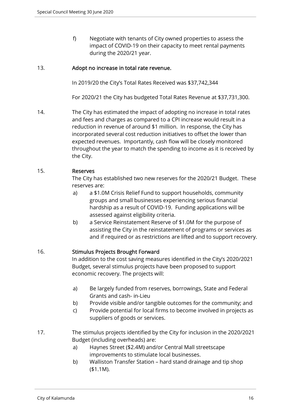f) Negotiate with tenants of City owned properties to assess the impact of COVID-19 on their capacity to meet rental payments during the 2020/21 year.

#### 13. Adopt no increase in total rate revenue.

In 2019/20 the City's Total Rates Received was \$37,742,344

For 2020/21 the City has budgeted Total Rates Revenue at \$37,731,300.

14. The City has estimated the impact of adopting no increase in total rates and fees and charges as compared to a CPI increase would result in a reduction in revenue of around \$1 million. In response, the City has incorporated several cost reduction initiatives to offset the lower than expected revenues. Importantly, cash flow will be closely monitored throughout the year to match the spending to income as it is received by the City.

#### 15. Reserves

The City has established two new reserves for the 2020/21 Budget. These reserves are:

- a) a \$1.0M Crisis Relief Fund to support households, community groups and small businesses experiencing serious financial hardship as a result of COVID-19. Funding applications will be assessed against eligibility criteria.
- b) a Service Reinstatement Reserve of \$1.0M for the purpose of assisting the City in the reinstatement of programs or services as and if required or as restrictions are lifted and to support recovery.

#### 16. Stimulus Projects Brought Forward

In addition to the cost saving measures identified in the City's 2020/2021 Budget, several stimulus projects have been proposed to support economic recovery. The projects will:

- a) Be largely funded from reserves, borrowings, State and Federal Grants and cash- in-Lieu
- b) Provide visible and/or tangible outcomes for the community; and
- c) Provide potential for local firms to become involved in projects as suppliers of goods or services.
- 17. The stimulus projects identified by the City for inclusion in the 2020/2021 Budget (including overheads) are:
	- a) Haynes Street (\$2.4M) and/or Central Mall streetscape improvements to stimulate local businesses.
	- b) Walliston Transfer Station hard stand drainage and tip shop (\$1.1M).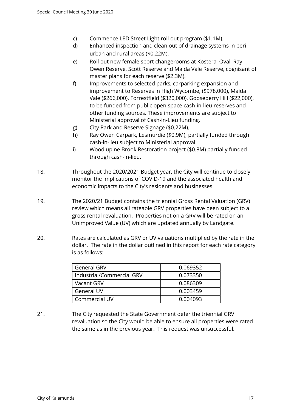- c) Commence LED Street Light roll out program (\$1.1M).
- d) Enhanced inspection and clean out of drainage systems in peri urban and rural areas (\$0.22M).
- e) Roll out new female sport changerooms at Kostera, Oval, Ray Owen Reserve, Scott Reserve and Maida Vale Reserve, cognisant of master plans for each reserve (\$2.3M).
- f) Improvements to selected parks, carparking expansion and improvement to Reserves in High Wycombe, (\$978,000), Maida Vale (\$266,000). Forrestfield (\$320,000), Gooseberry Hill (\$22,000), to be funded from public open space cash-in-lieu reserves and other funding sources. These improvements are subject to Ministerial approval of Cash-in-Lieu funding.
- g) City Park and Reserve Signage (\$0.22M).
- h) Ray Owen Carpark, Lesmurdie (\$0.9M), partially funded through cash-in-lieu subject to Ministerial approval.
- i) Woodlupine Brook Restoration project (\$0.8M) partially funded through cash-in-lieu.
- 18. Throughout the 2020/2021 Budget year, the City will continue to closely monitor the implications of COVID-19 and the associated health and economic impacts to the City's residents and businesses.
- 19. The 2020/21 Budget contains the triennial Gross Rental Valuation (GRV) review which means all rateable GRV properties have been subject to a gross rental revaluation. Properties not on a GRV will be rated on an Unimproved Value (UV) which are updated annually by Landgate.
- 20. Rates are calculated as GRV or UV valuations multiplied by the rate in the dollar. The rate in the dollar outlined in this report for each rate category is as follows:

| <b>General GRV</b>        | 0.069352 |
|---------------------------|----------|
| Industrial/Commercial GRV | 0.073350 |
| Vacant GRV                | 0.086309 |
| <b>General UV</b>         | 0.003459 |
| Commercial UV             | 0.004093 |

21. The City requested the State Government defer the triennial GRV revaluation so the City would be able to ensure all properties were rated the same as in the previous year. This request was unsuccessful.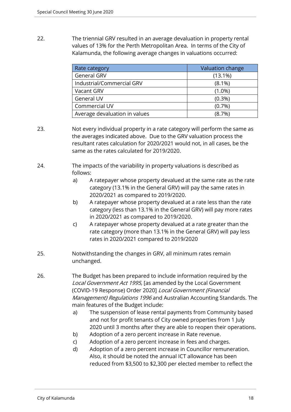22. The triennial GRV resulted in an average devaluation in property rental values of 13% for the Perth Metropolitan Area. In terms of the City of Kalamunda, the following average changes in valuations occurred:

| Rate category                 | Valuation change |
|-------------------------------|------------------|
| <b>General GRV</b>            | $(13.1\%)$       |
| Industrial/Commercial GRV     | $(8.1\%)$        |
| Vacant GRV                    | $(1.0\%)$        |
| General UV                    | $(0.3\%)$        |
| Commercial UV                 | $(0.7\%)$        |
| Average devaluation in values | (8.7%)           |

- 23. Not every individual property in a rate category will perform the same as the averages indicated above. Due to the GRV valuation process the resultant rates calculation for 2020/2021 would not, in all cases, be the same as the rates calculated for 2019/2020.
- 24. The impacts of the variability in property valuations is described as follows:
	- a) A ratepayer whose property devalued at the same rate as the rate category (13.1% in the General GRV) will pay the same rates in 2020/2021 as compared to 2019/2020.
	- b) A ratepayer whose property devalued at a rate less than the rate category (less than 13.1% in the General GRV) will pay more rates in 2020/2021 as compared to 2019/2020.
	- c) A ratepayer whose property devalued at a rate greater than the rate category (more than 13.1% in the General GRV) will pay less rates in 2020/2021 compared to 2019/2020
- 25. Notwithstanding the changes in GRV, all minimum rates remain unchanged.
- 26. The Budget has been prepared to include information required by the Local Government Act 1995, [as amended by the Local Government (COVID-19 Response) Order 2020] Local Government (Financial Management) Regulations 1996 and Australian Accounting Standards. The main features of the Budget include:
	- a) The suspension of lease rental payments from Community based and not for profit tenants of City owned properties from 1 July 2020 until 3 months after they are able to reopen their operations.
	- b) Adoption of a zero percent increase in Rate revenue.
	- c) Adoption of a zero percent increase in fees and charges.
	- d) Adoption of a zero percent increase in Councillor remuneration. Also, it should be noted the annual ICT allowance has been reduced from \$3,500 to \$2,300 per elected member to reflect the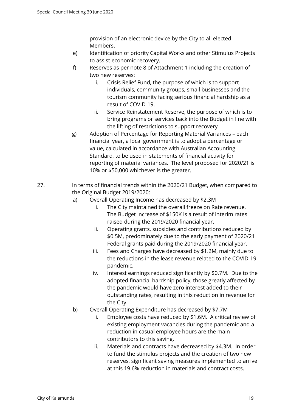provision of an electronic device by the City to all elected Members.

- e) Identification of priority Capital Works and other Stimulus Projects to assist economic recovery.
- f) Reserves as per note 8 of Attachment 1 including the creation of two new reserves:
	- i. Crisis Relief Fund, the purpose of which is to support individuals, community groups, small businesses and the tourism community facing serious financial hardship as a result of COVID-19.
	- ii. Service Reinstatement Reserve, the purpose of which is to bring programs or services back into the Budget in line with the lifting of restrictions to support recovery
- g) Adoption of Percentage for Reporting Material Variances each financial year, a local government is to adopt a percentage or value, calculated in accordance with Australian Accounting Standard, to be used in statements of financial activity for reporting of material variances. The level proposed for 2020/21 is 10% or \$50,000 whichever is the greater.
- 27. In terms of financial trends within the 2020/21 Budget, when compared to the Original Budget 2019/2020:
	- a) Overall Operating Income has decreased by \$2.3M
		- i. The City maintained the overall freeze on Rate revenue. The Budget increase of \$150K is a result of interim rates raised during the 2019/2020 financial year.
		- ii. Operating grants, subsidies and contributions reduced by \$0.5M, predominately due to the early payment of 2020/21 Federal grants paid during the 2019/2020 financial year.
		- iii. Fees and Charges have decreased by \$1.2M, mainly due to the reductions in the lease revenue related to the COVID-19 pandemic.
		- iv. Interest earnings reduced significantly by \$0.7M. Due to the adopted financial hardship policy, those greatly affected by the pandemic would have zero interest added to their outstanding rates, resulting in this reduction in revenue for the City.
	- b) Overall Operating Expenditure has decreased by \$7.7M
		- i. Employee costs have reduced by \$1.6M. A critical review of existing employment vacancies during the pandemic and a reduction in casual employee hours are the main contributors to this saving.
		- ii. Materials and contracts have decreased by \$4.3M. In order to fund the stimulus projects and the creation of two new reserves, significant saving measures implemented to arrive at this 19.6% reduction in materials and contract costs.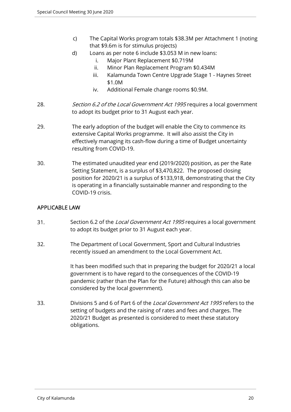- c) The Capital Works program totals \$38.3M per Attachment 1 (noting that \$9.6m is for stimulus projects)
- d) Loans as per note 6 include \$3.053 M in new loans:
	- i. Major Plant Replacement \$0.719M
	- ii. Minor Plan Replacement Program \$0.434M
	- iii. Kalamunda Town Centre Upgrade Stage 1 Haynes Street \$1.0M
	- iv. Additional Female change rooms \$0.9M.
- 28. Section 6.2 of the Local Government Act 1995 requires a local government to adopt its budget prior to 31 August each year.
- 29. The early adoption of the budget will enable the City to commence its extensive Capital Works programme. It will also assist the City in effectively managing its cash-flow during a time of Budget uncertainty resulting from COVID-19.
- 30. The estimated unaudited year end (2019/2020) position, as per the Rate Setting Statement, is a surplus of \$3,470,822. The proposed closing position for 2020/21 is a surplus of \$133,918, demonstrating that the City is operating in a financially sustainable manner and responding to the COVID-19 crisis.

#### APPLICABLE LAW

- 31. Section 6.2 of the *Local Government Act 1995* requires a local government to adopt its budget prior to 31 August each year.
- 32. The Department of Local Government, Sport and Cultural Industries recently issued an amendment to the Local Government Act.

It has been modified such that in preparing the budget for 2020/21 a local government is to have regard to the consequences of the COVID-19 pandemic (rather than the Plan for the Future) although this can also be considered by the local government).

33. Divisions 5 and 6 of Part 6 of the *Local Government Act 1995* refers to the setting of budgets and the raising of rates and fees and charges. The 2020/21 Budget as presented is considered to meet these statutory obligations.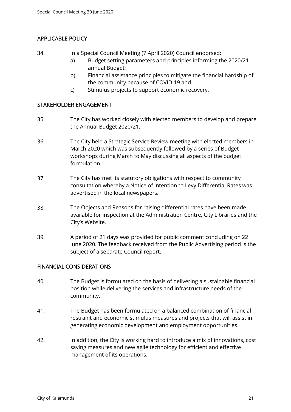#### APPLICABLE POLICY

34. In a Special Council Meeting (7 April 2020) Council endorsed:

- a) Budget setting parameters and principles informing the 2020/21 annual Budget;
- b) Financial assistance principles to mitigate the financial hardship of the community because of COVID-19 and
- c) Stimulus projects to support economic recovery.

#### STAKEHOLDER ENGAGEMENT

- 35. The City has worked closely with elected members to develop and prepare the Annual Budget 2020/21.
- 36. The City held a Strategic Service Review meeting with elected members in March 2020 which was subsequently followed by a series of Budget workshops during March to May discussing all aspects of the budget formulation.
- 37. The City has met its statutory obligations with respect to community consultation whereby a Notice of Intention to Levy Differential Rates was advertised in the local newspapers.
- 38. The Objects and Reasons for raising differential rates have been made available for inspection at the Administration Centre, City Libraries and the City's Website.
- 39. A period of 21 days was provided for public comment concluding on 22 June 2020. The feedback received from the Public Advertising period is the subject of a separate Council report.

#### FINANCIAL CONSIDERATIONS

- 40. The Budget is formulated on the basis of delivering a sustainable financial position while delivering the services and infrastructure needs of the community.
- 41. The Budget has been formulated on a balanced combination of financial restraint and economic stimulus measures and projects that will assist in generating economic development and employment opportunities.
- 42. In addition, the City is working hard to introduce a mix of innovations, cost saving measures and new agile technology for efficient and effective management of its operations.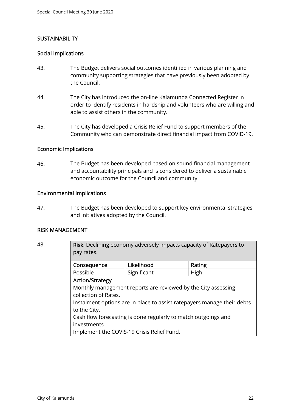#### **SUSTAINABILITY**

#### Social Implications

- 43. The Budget delivers social outcomes identified in various planning and community supporting strategies that have previously been adopted by the Council.
- 44. The City has introduced the on-line Kalamunda Connected Register in order to identify residents in hardship and volunteers who are willing and able to assist others in the community.
- 45. The City has developed a Crisis Relief Fund to support members of the Community who can demonstrate direct financial impact from COVID-19.

#### Economic Implications

46. The Budget has been developed based on sound financial management and accountability principals and is considered to deliver a sustainable economic outcome for the Council and community.

#### Environmental Implications

47. The Budget has been developed to support key environmental strategies and initiatives adopted by the Council.

#### RISK MANAGEMENT

| 48. | pay rates.                                                                                                                                                                       |             | <b>Risk:</b> Declining economy adversely impacts capacity of Ratepayers to |  |  |  |
|-----|----------------------------------------------------------------------------------------------------------------------------------------------------------------------------------|-------------|----------------------------------------------------------------------------|--|--|--|
|     |                                                                                                                                                                                  |             |                                                                            |  |  |  |
|     | Consequence                                                                                                                                                                      | Likelihood  | Rating                                                                     |  |  |  |
|     | Possible                                                                                                                                                                         | Significant | High                                                                       |  |  |  |
|     | <b>Action/Strategy</b>                                                                                                                                                           |             |                                                                            |  |  |  |
|     | Monthly management reports are reviewed by the City assessing<br>collection of Rates.<br>Instalment options are in place to assist ratepayers manage their debts<br>to the City. |             |                                                                            |  |  |  |
|     | Cash flow forecasting is done regularly to match outgoings and<br>investments<br>Implement the COVIS-19 Crisis Relief Fund.                                                      |             |                                                                            |  |  |  |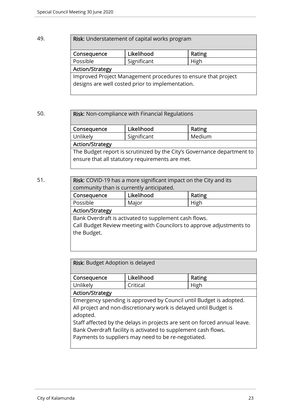49. **Risk:** Understatement of capital works program

| Consequence                                                   | Likelihood | Rating |  |
|---------------------------------------------------------------|------------|--------|--|
| Possible                                                      | High       |        |  |
| <b>Action/Strategy</b>                                        |            |        |  |
| Improved Project Management procedures to ensure that project |            |        |  |
| designs are well costed prior to implementation.              |            |        |  |
|                                                               |            |        |  |

50. **Risk:** Non-compliance with Financial Regulations

| Consequence                                                             | Likelihood  | Rating |  |  |
|-------------------------------------------------------------------------|-------------|--------|--|--|
| Unlikely                                                                | Significant | Medium |  |  |
| <b>Action/Strategy</b>                                                  |             |        |  |  |
| The Budget report is scrutinized by the City's Governance department to |             |        |  |  |
| ensure that all statutory requirements are met.                         |             |        |  |  |

#### 51. **Risk:** COVID-19 has a more significant impact on the City and its community than is currently anticipated.

| Consequence                                           | Likelihood | Rating |  |  |
|-------------------------------------------------------|------------|--------|--|--|
| Possible                                              | Major      | High   |  |  |
| <b>Action/Strategy</b>                                |            |        |  |  |
| Bank Overdraft is activated to supplement cash flows. |            |        |  |  |

Call Budget Review meeting with Councilors to approve adjustments to the Budget.

| Risk: Budget Adoption is delayed |                                                                                                                                                                                                                                                                                                                                               |        |  |  |
|----------------------------------|-----------------------------------------------------------------------------------------------------------------------------------------------------------------------------------------------------------------------------------------------------------------------------------------------------------------------------------------------|--------|--|--|
| Consequence                      | Likelihood                                                                                                                                                                                                                                                                                                                                    | Rating |  |  |
| Unlikely                         | Critical                                                                                                                                                                                                                                                                                                                                      | High   |  |  |
| <b>Action/Strategy</b>           |                                                                                                                                                                                                                                                                                                                                               |        |  |  |
| adopted.                         | Emergency spending is approved by Council until Budget is adopted.<br>All project and non-discretionary work is delayed until Budget is<br>Staff affected by the delays in projects are sent on forced annual leave.<br>Bank Overdraft facility is activated to supplement cash flows.<br>Payments to suppliers may need to be re-negotiated. |        |  |  |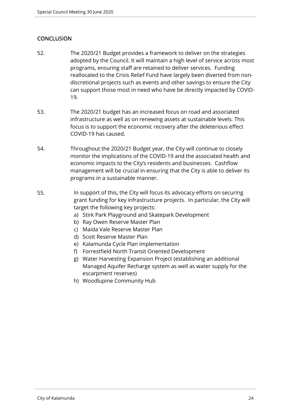#### **CONCLUSION**

- 52. The 2020/21 Budget provides a framework to deliver on the strategies adopted by the Council. It will maintain a high level of service across most programs, ensuring staff are retained to deliver services. Funding reallocated to the Crisis Relief Fund have largely been diverted from nondiscretional projects such as events and other savings to ensure the City can support those most in need who have be directly impacted by COVID-19.
- 53. The 2020/21 budget has an increased focus on road and associated infrastructure as well as on renewing assets at sustainable levels. This focus is to support the economic recovery after the deleterious effect COVID-19 has caused.
- 54. Throughout the 2020/21 Budget year, the City will continue to closely monitor the implications of the COVID-19 and the associated health and economic impacts to the City's residents and businesses. Cashflow management will be crucial in ensuring that the City is able to deliver its programs in a sustainable manner.
- 55. In support of this, the City will focus its advocacy efforts on securing grant funding for key infrastructure projects. In particular, the City will target the following key projects:
	- a) Stirk Park Playground and Skatepark Development
	- b) Ray Owen Reserve Master Plan
	- c) Maida Vale Reserve Master Plan
	- d) Scott Reserve Master Plan
	- e) Kalamunda Cycle Plan implementation
	- f) Forrestfield North Transit Oriented Development
	- g) Water Harvesting Expansion Project (establishing an additional Managed Aquifer Recharge system as well as water supply for the escarpment reserves)
	- h) Woodlupine Community Hub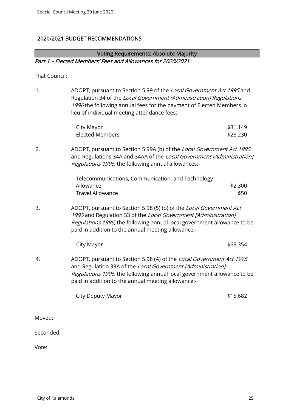#### 2020/2021 BUDGET RECOMMENDATIONS

# Voting Requirements: Absolute Majority Part 1 – Elected Members' Fees and Allowances for 2020/2021

#### That Council:

1. ADOPT, pursuant to Section 5.99 of the Local Government Act 1995 and Regulation 34 of the Local Government (Administration) Regulations 1996 the following annual fees for the payment of Elected Members in lieu of individual meeting attendance fees:- City Mayor \$31,149 Elected Members \$23,230 2. ADOPT, pursuant to Section 5.99A (b) of the Local Government Act 1995 and Regulations 34A and 34AA of the Local Government [Administration] Regulations 1996, the following annual allowances:- Telecommunications, Communication, and Technology Allowance \$2,300 Travel Allowance **\$50** 3. ADOPT, pursuant to Section 5.98 (5) (b) of the Local Government Act 1995 and Regulation 33 of the Local Government [Administration] Regulations 1996, the following annual local government allowance to be paid in addition to the annual meeting allowance:- City Mayor \$63,354 4. ADOPT, pursuant to Section 5.98 (A) of the Local Government Act 1995 and Regulation 33A of the Local Government [Administration] Regulations 1996, the following annual local government allowance to be paid in addition to the annual meeting allowance:- City Deputy Mayor **\$15,682** Moved: Seconded:

Vote: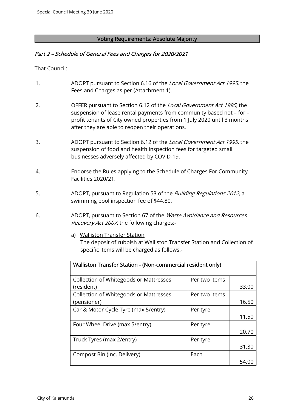#### Voting Requirements: Absolute Majority

#### Part 2 – Schedule of General Fees and Charges for 2020/2021

That Council:

- 1. ADOPT pursuant to Section 6.16 of the Local Government Act 1995, the Fees and Charges as per (Attachment 1).
- 2. OFFER pursuant to Section 6.12 of the Local Government Act 1995, the suspension of lease rental payments from community based not – for – profit tenants of City owned properties from 1 July 2020 until 3 months after they are able to reopen their operations.
- 3. ADOPT pursuant to Section 6.12 of the Local Government Act 1995, the suspension of food and health inspection fees for targeted small businesses adversely affected by COVID-19.
- 4. Endorse the Rules applying to the Schedule of Charges For Community Facilities 2020/21.
- 5. ADOPT, pursuant to Regulation 53 of the Building Regulations 2012, a swimming pool inspection fee of \$44.80.
- 6. ADOPT, pursuant to Section 67 of the Waste Avoidance and Resources Recovery Act 2007, the following charges:
	- a) Walliston Transfer Station The deposit of rubbish at Walliston Transfer Station and Collection of specific items will be charged as follows:-

| Walliston Transfer Station - (Non-commercial resident only) |               |       |  |  |
|-------------------------------------------------------------|---------------|-------|--|--|
| Collection of Whitegoods or Mattresses                      | Per two items |       |  |  |
| (resident)                                                  |               | 33.00 |  |  |
| Collection of Whitegoods or Mattresses                      | Per two items |       |  |  |
| (pensioner)                                                 |               | 16.50 |  |  |
| Car & Motor Cycle Tyre (max 5/entry)                        | Per tyre      |       |  |  |
|                                                             |               | 11.50 |  |  |
| Four Wheel Drive (max 5/entry)                              | Per tyre      |       |  |  |
|                                                             |               | 20.70 |  |  |
| Truck Tyres (max 2/entry)                                   | Per tyre      |       |  |  |
|                                                             |               | 31.30 |  |  |
| Compost Bin (Inc. Delivery)                                 | Each          |       |  |  |
|                                                             |               | 54.0  |  |  |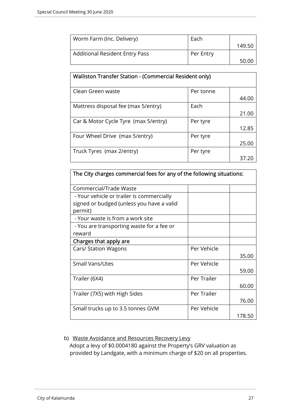| Worm Farm (Inc. Delivery)             | Each      |        |
|---------------------------------------|-----------|--------|
|                                       |           | 149.50 |
| <b>Additional Resident Entry Pass</b> | Per Entry |        |
|                                       |           | 50.00  |

| Walliston Transfer Station - (Commercial Resident only) |           |       |  |
|---------------------------------------------------------|-----------|-------|--|
| Clean Green waste                                       | Per tonne |       |  |
|                                                         |           | 44.00 |  |
| Mattress disposal fee (max 5/entry)                     | Each      |       |  |
|                                                         |           | 21.00 |  |
| Car & Motor Cycle Tyre (max 5/entry)                    | Per tyre  |       |  |
|                                                         |           | 12.85 |  |
| Four Wheel Drive (max 5/entry)                          | Per tyre  |       |  |
|                                                         |           | 25.00 |  |
| Truck Tyres (max 2/entry)                               | Per tyre  |       |  |
|                                                         |           | 37.20 |  |

| The City charges commercial fees for any of the following situations: |             |        |  |  |
|-----------------------------------------------------------------------|-------------|--------|--|--|
| Commercial/Trade Waste                                                |             |        |  |  |
| - Your vehicle or trailer is commercially                             |             |        |  |  |
| signed or budged (unless you have a valid                             |             |        |  |  |
| permit)                                                               |             |        |  |  |
| - Your waste is from a work site                                      |             |        |  |  |
| - You are transporting waste for a fee or                             |             |        |  |  |
| reward                                                                |             |        |  |  |
| Charges that apply are                                                |             |        |  |  |
| Cars/ Station Wagons                                                  | Per Vehicle |        |  |  |
|                                                                       |             | 35.00  |  |  |
| <b>Small Vans/Utes</b>                                                | Per Vehicle |        |  |  |
|                                                                       |             | 59.00  |  |  |
| Trailer (6X4)                                                         | Per Trailer |        |  |  |
|                                                                       |             | 60.00  |  |  |
| Trailer (7X5) with High Sides                                         | Per Trailer |        |  |  |
|                                                                       |             | 76.00  |  |  |
| Small trucks up to 3.5 tonnes GVM                                     | Per Vehicle |        |  |  |
|                                                                       |             | 178.50 |  |  |

b) Waste Avoidance and Resources Recovery Levy Adopt a levy of \$0.0004180 against the Property's GRV valuation as provided by Landgate, with a minimum charge of \$20 on all properties.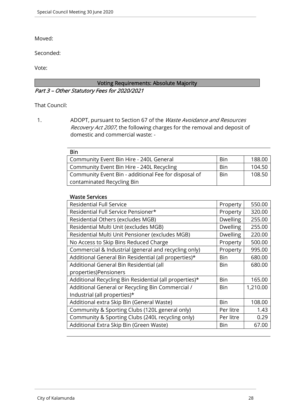Moved:

Seconded:

Vote:

#### Voting Requirements: Absolute Majority

Part 3 – Other Statutory Fees for 2020/2021

That Council:

1. ADOPT, pursuant to Section 67 of the Waste Avoidance and Resources Recovery Act 2007, the following charges for the removal and deposit of domestic and commercial waste: -

#### **Rin**

| ын                                                   |     |        |
|------------------------------------------------------|-----|--------|
| Community Event Bin Hire - 240L General              | Bin | 188.00 |
| Community Event Bin Hire - 240L Recycling            | Bin | 104.50 |
| Community Event Bin - additional Fee for disposal of | Bin | 108.50 |
| contaminated Recycling Bin                           |     |        |

#### Waste Services

| <b>Residential Full Service</b>                        | Property        | 550.00   |
|--------------------------------------------------------|-----------------|----------|
| Residential Full Service Pensioner*                    | Property        | 320.00   |
| Residential Others (excludes MGB)                      | <b>Dwelling</b> | 255.00   |
| Residential Multi Unit (excludes MGB)                  | <b>Dwelling</b> | 255.00   |
| Residential Multi Unit Pensioner (excludes MGB)        | <b>Dwelling</b> | 220.00   |
| No Access to Skip Bins Reduced Charge                  | Property        | 500.00   |
| Commercial & Industrial (general and recycling only)   | Property        | 995.00   |
| Additional General Bin Residential (all properties)*   | <b>Bin</b>      | 680.00   |
| Additional General Bin Residential (all                | <b>Bin</b>      | 680.00   |
| properties)Pensioners                                  |                 |          |
| Additional Recycling Bin Residential (all properties)* | <b>Bin</b>      | 165.00   |
| Additional General or Recycling Bin Commercial /       | <b>Bin</b>      | 1,210.00 |
| Industrial (all properties)*                           |                 |          |
| Additional extra Skip Bin (General Waste)              | <b>Bin</b>      | 108.00   |
| Community & Sporting Clubs (120L general only)         | Per litre       | 1.43     |
| Community & Sporting Clubs (240L recycling only)       | Per litre       | 0.29     |
| Additional Extra Skip Bin (Green Waste)                | <b>Bin</b>      | 67.00    |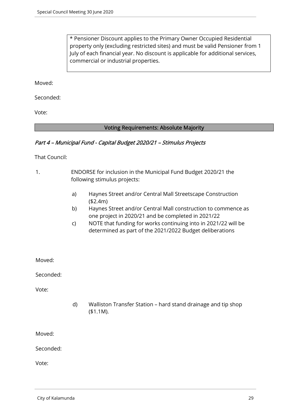\* Pensioner Discount applies to the Primary Owner Occupied Residential property only (excluding restricted sites) and must be valid Pensioner from 1 July of each financial year. No discount is applicable for additional services, commercial or industrial properties.

Moved:

Seconded:

Vote:

#### Voting Requirements: Absolute Majority

#### Part 4 – Municipal Fund - Capital Budget 2020/21 – Stimulus Projects

That Council:

- 1. ENDORSE for inclusion in the Municipal Fund Budget 2020/21 the following stimulus projects:
	- a) Haynes Street and/or Central Mall Streetscape Construction (\$2.4m)
	- b) Haynes Street and/or Central Mall construction to commence as one project in 2020/21 and be completed in 2021/22
	- c) NOTE that funding for works continuing into in 2021/22 will be determined as part of the 2021/2022 Budget deliberations

Moved:

Seconded:

Vote:

 d) Walliston Transfer Station – hard stand drainage and tip shop (\$1.1M).

Moved:

Seconded:

Vote: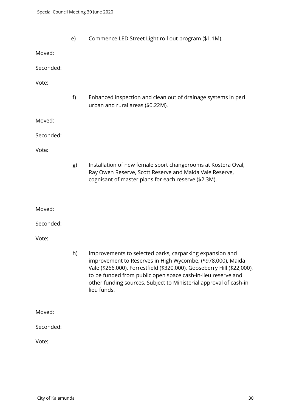e) Commence LED Street Light roll out program (\$1.1M).

Moved:

Seconded:

Vote:

 f) Enhanced inspection and clean out of drainage systems in peri urban and rural areas (\$0.22M).

Moved:

Seconded:

Vote:

 g) Installation of new female sport changerooms at Kostera Oval, Ray Owen Reserve, Scott Reserve and Maida Vale Reserve, cognisant of master plans for each reserve (\$2.3M).

Moved:

Seconded:

Vote:

 h) Improvements to selected parks, carparking expansion and improvement to Reserves in High Wycombe, (\$978,000), Maida Vale (\$266,000). Forrestfield (\$320,000), Gooseberry Hill (\$22,000), to be funded from public open space cash-in-lieu reserve and other funding sources. Subject to Ministerial approval of cash-in lieu funds.

Moved:

Seconded:

Vote: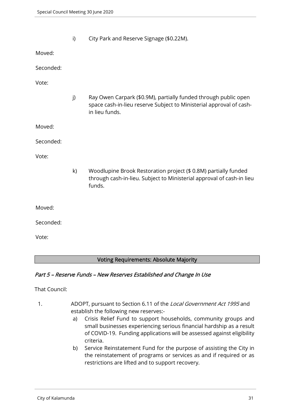i) City Park and Reserve Signage (\$0.22M).

Moved:

Seconded:

Vote:

 j) Ray Owen Carpark (\$0.9M), partially funded through public open space cash-in-lieu reserve Subject to Ministerial approval of cashin lieu funds.

Moved:

Seconded:

Vote:

 k) Woodlupine Brook Restoration project (\$ 0.8M) partially funded through cash-in-lieu. Subject to Ministerial approval of cash-in lieu funds.

Moved:

Seconded:

Vote:

#### Voting Requirements: Absolute Majority

#### Part 5 – Reserve Funds – New Reserves Established and Change In Use

That Council:

- 1. ADOPT, pursuant to Section 6.11 of the Local Government Act 1995 and establish the following new reserves:
	- a) Crisis Relief Fund to support households, community groups and small businesses experiencing serious financial hardship as a result of COVID-19. Funding applications will be assessed against eligibility criteria.
	- b) Service Reinstatement Fund for the purpose of assisting the City in the reinstatement of programs or services as and if required or as restrictions are lifted and to support recovery.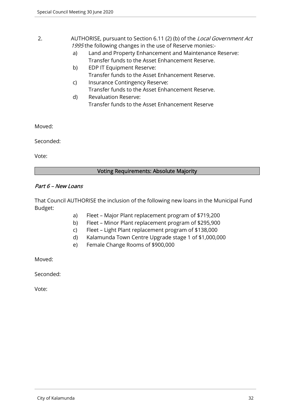- 2. AUTHORISE, pursuant to Section 6.11 (2) (b) of the Local Government Act 1995 the following changes in the use of Reserve monies:
	- a) Land and Property Enhancement and Maintenance Reserve: Transfer funds to the Asset Enhancement Reserve.
	- b) EDP IT Equipment Reserve: Transfer funds to the Asset Enhancement Reserve.
	- c) Insurance Contingency Reserve: Transfer funds to the Asset Enhancement Reserve.
	- d) Revaluation Reserve: Transfer funds to the Asset Enhancement Reserve

Moved:

Seconded:

Vote:

#### Voting Requirements: Absolute Majority

#### Part 6 – New Loans

That Council AUTHORISE the inclusion of the following new loans in the Municipal Fund Budget:

- a) Fleet Major Plant replacement program of \$719,200
- b) Fleet Minor Plant replacement program of \$295,900
- c) Fleet Light Plant replacement program of \$138,000
- d) Kalamunda Town Centre Upgrade stage 1 of \$1,000,000
- e) Female Change Rooms of \$900,000

Moved:

Seconded:

Vote: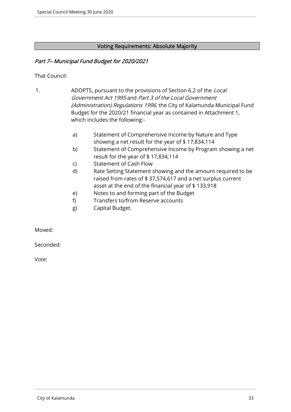#### Voting Requirements: Absolute Majority

#### Part 7– Municipal Fund Budget for 2020/2021

That Council:

1. ADOPTS, pursuant to the provisions of Section 6.2 of the Local Government Act 1995 and Part 3 of the Local Government (Administration) Regulations 1996, the City of Kalamunda Municipal Fund Budget for the 2020/21 financial year as contained in Attachment 1, which includes the following:-

- a) Statement of Comprehensive Income by Nature and Type showing a net result for the year of \$ 17,834,114
- b) Statement of Comprehensive Income by Program showing a net result for the year of \$ 17,834,114
- c) Statement of Cash Flow
- d) Rate Setting Statement showing and the amount required to be raised from rates of \$ 37,574,617 and a net surplus current asset at the end of the financial year of \$ 133,918
- e) Notes to and forming part of the Budget
- f) Transfers to/from Reserve accounts
- g) Capital Budget.

Moved:

Seconded:

Vote: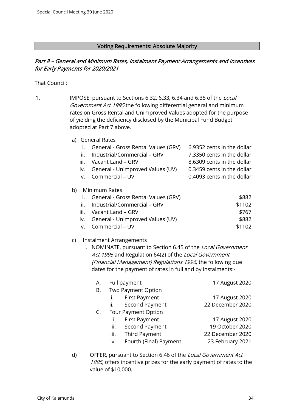#### Voting Requirements: Absolute Majority

#### Part 8 – General and Minimum Rates, Instalment Payment Arrangements and Incentives for Early Payments for 2020/2021

That Council:

| 1. | adopted at Part 7 above.                              | IMPOSE, pursuant to Sections 6.32, 6.33, 6.34 and 6.35 of the Local<br>Government Act 1995 the following differential general and minimum<br>rates on Gross Rental and Unimproved Values adopted for the purpose<br>of yielding the deficiency disclosed by the Municipal Fund Budget |                                                                                                                                                    |
|----|-------------------------------------------------------|---------------------------------------------------------------------------------------------------------------------------------------------------------------------------------------------------------------------------------------------------------------------------------------|----------------------------------------------------------------------------------------------------------------------------------------------------|
|    | a) General Rates<br>i.<br>ii.<br>iii.<br>iv.<br>V.    | General - Gross Rental Values (GRV)<br>Industrial/Commercial - GRV<br>Vacant Land - GRV<br>General - Unimproved Values (UV)<br>Commercial - UV                                                                                                                                        | 6.9352 cents in the dollar<br>7.3350 cents in the dollar<br>8.6309 cents in the dollar<br>0.3459 cents in the dollar<br>0.4093 cents in the dollar |
|    | Minimum Rates<br>b)<br>i.<br>ii.<br>iii.<br>iv.<br>V. | General - Gross Rental Values (GRV)<br>Industrial/Commercial - GRV<br>Vacant Land - GRV<br>General - Unimproved Values (UV)<br>Commercial - UV                                                                                                                                        | \$882<br>\$1102<br>\$767<br>\$882<br>\$1102                                                                                                        |
|    | C)<br>i.                                              | Instalment Arrangements<br>NOMINATE, pursuant to Section 6.45 of the Local Government<br>Act 1995 and Regulation 64(2) of the Local Government<br>(Financial Management) Regulations 1996, the following due<br>dates for the payment of rates in full and by instalments:-           |                                                                                                                                                    |
|    | A.<br>B.<br>i.<br>ii.                                 | Full payment<br>Two Payment Option<br><b>First Payment</b><br>Second Payment                                                                                                                                                                                                          | 17 August 2020<br>17 August 2020<br>22 December 2020                                                                                               |
|    |                                                       | <b>Equip Dovmant Ontion</b>                                                                                                                                                                                                                                                           |                                                                                                                                                    |

- C. Four Payment Option i. First Payment 17 August 2020
	- ii. Second Payment 19 October 2020 iii. Third Payment 22 December 2020
	- iv. Fourth (Final) Payment 23 February 2021
- d) OFFER, pursuant to Section 6.46 of the Local Government Act 1995, offers incentive prizes for the early payment of rates to the value of \$10,000.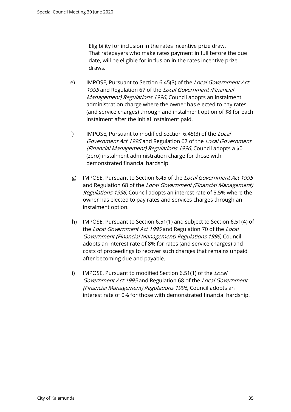Eligibility for inclusion in the rates incentive prize draw. That ratepayers who make rates payment in full before the due date, will be eligible for inclusion in the rates incentive prize draws.

- e) IMPOSE, Pursuant to Section 6.45(3) of the Local Government Act 1995 and Regulation 67 of the Local Government (Financial Management) Regulations 1996, Council adopts an instalment administration charge where the owner has elected to pay rates (and service charges) through and instalment option of \$8 for each instalment after the initial instalment paid.
- f) IMPOSE, Pursuant to modified Section 6.45(3) of the Local Government Act 1995 and Regulation 67 of the Local Government (Financial Management) Regulations 1996, Council adopts a \$0 (zero) instalment administration charge for those with demonstrated financial hardship.
- g) IMPOSE, Pursuant to Section 6.45 of the Local Government Act 1995 and Regulation 68 of the Local Government (Financial Management) Regulations 1996, Council adopts an interest rate of 5.5% where the owner has elected to pay rates and services charges through an instalment option.
- h) IMPOSE, Pursuant to Section 6.51(1) and subject to Section 6.51(4) of the Local Government Act 1995 and Regulation 70 of the Local Government (Financial Management) Regulations 1996, Council adopts an interest rate of 8% for rates (and service charges) and costs of proceedings to recover such charges that remains unpaid after becoming due and payable.
- i) IMPOSE, Pursuant to modified Section 6.51(1) of the Local Government Act 1995 and Regulation 68 of the Local Government (Financial Management) Regulations 1996, Council adopts an interest rate of 0% for those with demonstrated financial hardship.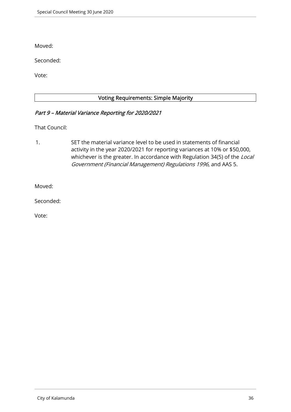Moved:

Seconded:

Vote:

### Voting Requirements: Simple Majority

#### Part 9 – Material Variance Reporting for 2020/2021

That Council:

1. SET the material variance level to be used in statements of financial activity in the year 2020/2021 for reporting variances at 10% or \$50,000, whichever is the greater. In accordance with Regulation 34(5) of the Local Government (Financial Management) Regulations 1996, and AAS 5.

Moved:

Seconded:

Vote: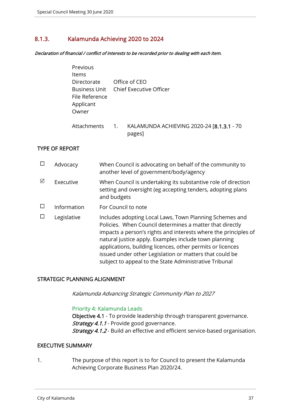#### 8.1.3. Kalamunda Achieving 2020 to 2024

Declaration of financial / conflict of interests to be recorded prior to dealing with each item.

| Previous<br><b>Items</b><br>Directorate<br>File Reference<br>Applicant<br>Owner |                  | Office of CEO<br>Business Unit Chief Executive Officer |
|---------------------------------------------------------------------------------|------------------|--------------------------------------------------------|
| <b>Attachments</b>                                                              | $\overline{1}$ . | KALAMUNDA ACHIEVING 2020-24 [8.1.3.1 - 70<br>pages]    |

#### TYPE OF REPORT

|   | Advocacy    | When Council is advocating on behalf of the community to<br>another level of government/body/agency                                                                                                                                                                                                                                                                                                                                |
|---|-------------|------------------------------------------------------------------------------------------------------------------------------------------------------------------------------------------------------------------------------------------------------------------------------------------------------------------------------------------------------------------------------------------------------------------------------------|
| ☑ | Executive   | When Council is undertaking its substantive role of direction<br>setting and oversight (eg accepting tenders, adopting plans<br>and budgets                                                                                                                                                                                                                                                                                        |
|   | Information | For Council to note                                                                                                                                                                                                                                                                                                                                                                                                                |
|   | Legislative | Includes adopting Local Laws, Town Planning Schemes and<br>Policies. When Council determines a matter that directly<br>impacts a person's rights and interests where the principles of<br>natural justice apply. Examples include town planning<br>applications, building licences, other permits or licences<br>issued under other Legislation or matters that could be<br>subject to appeal to the State Administrative Tribunal |

#### STRATEGIC PLANNING ALIGNMENT

Kalamunda Advancing Strategic Community Plan to 2027

#### Priority 4: Kalamunda Leads

Objective 4.1 - To provide leadership through transparent governance. Strategy 4.1.1 - Provide good governance. Strategy 4.1.2 - Build an effective and efficient service-based organisation.

#### EXECUTIVE SUMMARY

1. The purpose of this report is to for Council to present the Kalamunda Achieving Corporate Business Plan 2020/24.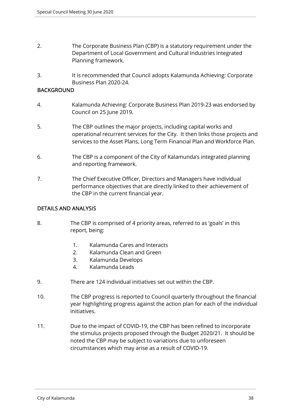- 2. The Corporate Business Plan (CBP) is a statutory requirement under the Department of Local Government and Cultural Industries Integrated Planning framework.
- 3. It is recommended that Council adopts Kalamunda Achieving: Corporate Business Plan 2020-24.

#### BACKGROUND

- 4. Kalamunda Achieving: Corporate Business Plan 2019-23 was endorsed by Council on 25 June 2019.
- 5. The CBP outlines the major projects, including capital works and operational recurrent services for the City. It then links those projects and services to the Asset Plans, Long Term Financial Plan and Workforce Plan.
- 6. The CBP is a component of the City of Kalamunda's integrated planning and reporting framework.
- 7. The Chief Executive Officer, Directors and Managers have individual performance objectives that are directly linked to their achievement of the CBP in the current financial year.

#### DETAILS AND ANALYSIS

- 8. The CBP is comprised of 4 priority areas, referred to as 'goals' in this report, being:
	- 1. Kalamunda Cares and Interacts
	- 2. Kalamunda Clean and Green
	- 3. Kalamunda Develops
	- 4. Kalamunda Leads
- 9. There are 124 individual initiatives set out within the CBP.
- 10. The CBP progress is reported to Council quarterly throughout the financial year highlighting progress against the action plan for each of the individual initiatives.
- 11. Due to the impact of COVID-19, the CBP has been refined to incorporate the stimulus projects proposed through the Budget 2020/21. It should be noted the CBP may be subject to variations due to unforeseen circumstances which may arise as a result of COVID-19.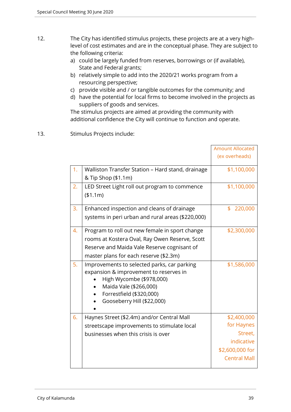- 12. The City has identified stimulus projects, these projects are at a very highlevel of cost estimates and are in the conceptual phase. They are subject to the following criteria:
	- a) could be largely funded from reserves, borrowings or (if available), State and Federal grants;
	- b) relatively simple to add into the 2020/21 works program from a resourcing perspective;
	- c) provide visible and / or tangible outcomes for the community; and
	- d) have the potential for local firms to become involved in the projects as suppliers of goods and services.

The stimulus projects are aimed at providing the community with additional confidence the City will continue to function and operate.

13. Stimulus Projects include:

|    |                                                   | <b>Amount Allocated</b> |
|----|---------------------------------------------------|-------------------------|
|    |                                                   | (ex overheads)          |
|    |                                                   |                         |
| 1. | Walliston Transfer Station - Hard stand, drainage | \$1,100,000             |
|    | & Tip Shop (\$1.1m)                               |                         |
| 2. | LED Street Light roll out program to commence     | \$1,100,000             |
|    | (\$1.1m)                                          |                         |
| 3. | Enhanced inspection and cleans of drainage        | \$<br>220,000           |
|    | systems in peri urban and rural areas (\$220,000) |                         |
|    |                                                   |                         |
| 4. | Program to roll out new female in sport change    | \$2,300,000             |
|    | rooms at Kostera Oval, Ray Owen Reserve, Scott    |                         |
|    | Reserve and Maida Vale Reserve cognisant of       |                         |
|    | master plans for each reserve (\$2.3m)            |                         |
| 5. | Improvements to selected parks, car parking       | \$1,586,000             |
|    | expansion & improvement to reserves in            |                         |
|    | High Wycombe (\$978,000)                          |                         |
|    | Maida Vale (\$266,000)                            |                         |
|    | Forrestfield (\$320,000)                          |                         |
|    | Gooseberry Hill (\$22,000)                        |                         |
|    |                                                   |                         |
| 6. | Haynes Street (\$2.4m) and/or Central Mall        | \$2,400,000             |
|    | streetscape improvements to stimulate local       | for Haynes              |
|    | businesses when this crisis is over               | Street,                 |
|    |                                                   | indicative              |
|    |                                                   | \$2,600,000 for         |
|    |                                                   | <b>Central Mall</b>     |
|    |                                                   |                         |
|    |                                                   |                         |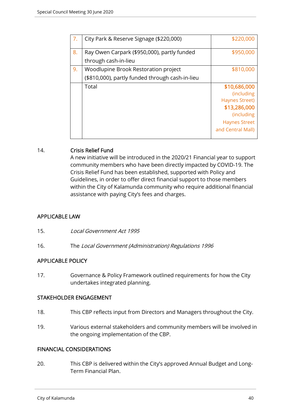| 7. | City Park & Reserve Signage (\$220,000)         | \$220,000            |
|----|-------------------------------------------------|----------------------|
| 8. | Ray Owen Carpark (\$950,000), partly funded     | \$950,000            |
|    | through cash-in-lieu                            |                      |
| 9. | Woodlupine Brook Restoration project            | \$810,000            |
|    | (\$810,000), partly funded through cash-in-lieu |                      |
|    | Total                                           | \$10,686,000         |
|    |                                                 | (including           |
|    |                                                 | Haynes Street)       |
|    |                                                 | \$13,286,000         |
|    |                                                 | (including           |
|    |                                                 | <b>Haynes Street</b> |
|    |                                                 | and Central Mall)    |
|    |                                                 |                      |

#### 14. Crisis Relief Fund

A new initiative will be introduced in the 2020/21 Financial year to support community members who have been directly impacted by COVID-19. The Crisis Relief Fund has been established, supported with Policy and Guidelines, in order to offer direct financial support to those members within the City of Kalamunda community who require additional financial assistance with paying City's fees and charges.

#### APPLICABLE LAW

- 15. Local Government Act 1995
- 16. The Local Government (Administration) Regulations 1996

#### APPLICABLE POLICY

17. Governance & Policy Framework outlined requirements for how the City undertakes integrated planning.

#### STAKEHOLDER ENGAGEMENT

- 18. This CBP reflects input from Directors and Managers throughout the City.
- 19. Various external stakeholders and community members will be involved in the ongoing implementation of the CBP.

#### FINANCIAL CONSIDERATIONS

20. This CBP is delivered within the City's approved Annual Budget and Long-Term Financial Plan.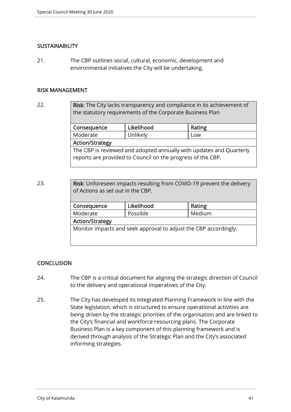#### **SUSTAINABILITY**

21. The CBP outlines social, cultural, economic, development and environmental initiatives the City will be undertaking.

#### RISK MANAGEMENT

| 22. | Risk: The City lacks transparency and compliance in its achievement of |  |  |  |
|-----|------------------------------------------------------------------------|--|--|--|
|     | the statutory requirements of the Corporate Business Plan              |  |  |  |

| Consequence                                                         | Likelihood | Rating |  |  |
|---------------------------------------------------------------------|------------|--------|--|--|
| Moderate                                                            | Unlikely   | Low    |  |  |
| <b>Action/Strategy</b>                                              |            |        |  |  |
| The CBP is reviewed and adopted annually with updates and Quarterly |            |        |  |  |
| reports are provided to Council on the progress of the CBP.         |            |        |  |  |

23. **Risk:** Unforeseen impacts resulting from COVID-19 prevent the delivery of Actions as set out in the CBP.

| Consequence                                                      | Likelihood | Rating |  |  |
|------------------------------------------------------------------|------------|--------|--|--|
| Moderate                                                         | Possible   | Medium |  |  |
| <b>Action/Strategy</b>                                           |            |        |  |  |
| Monitor impacts and seek approval to adjust the CBP accordingly. |            |        |  |  |

#### **CONCLUSION**

- 24. The CBP is a critical document for aligning the strategic direction of Council to the delivery and operational imperatives of the City.
- 25. The City has developed its Integrated Planning Framework in line with the State legislation, which is structured to ensure operational activities are being driven by the strategic priorities of the organisation and are linked to the City's financial and workforce resourcing plans. The Corporate Business Plan is a key component of this planning framework and is derived through analysis of the Strategic Plan and the City's associated informing strategies.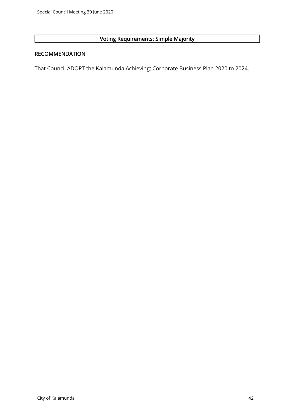# Voting Requirements: Simple Majority

#### RECOMMENDATION

That Council ADOPT the Kalamunda Achieving: Corporate Business Plan 2020 to 2024.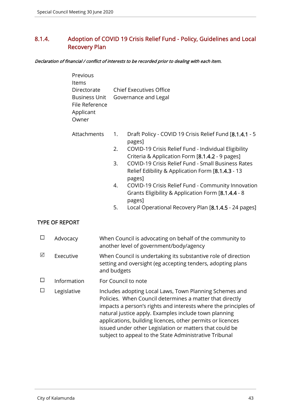# 8.1.4. Adoption of COVID 19 Crisis Relief Fund - Policy, Guidelines and Local Recovery Plan

#### Declaration of financial / conflict of interests to be recorded prior to dealing with each item.

| Previous<br>Items<br>Directorate<br>Business Unit<br>File Reference<br>Applicant<br>Owner |                | <b>Chief Executives Office</b><br>Governance and Legal                                                                                                                                                                             |
|-------------------------------------------------------------------------------------------|----------------|------------------------------------------------------------------------------------------------------------------------------------------------------------------------------------------------------------------------------------|
| Attachments                                                                               | 1.<br>2.<br>3. | Draft Policy - COVID 19 Crisis Relief Fund [8.1.4.1 - 5<br>pages]<br>COVID-19 Crisis Relief Fund - Individual Eligibility<br>Criteria & Application Form [8.1.4.2 - 9 pages]<br>COVID-19 Crisis Relief Fund - Small Business Rates |
|                                                                                           | 4.             | Relief Edibility & Application Form [8.1.4.3 - 13<br>pages]<br>COVID-19 Crisis Relief Fund - Community Innovation<br>Grants Eligibility & Application Form [8.1.4.4 - 8<br>pages]                                                  |
|                                                                                           | 5.             | Local Operational Recovery Plan [8.1.4.5 - 24 pages]                                                                                                                                                                               |

#### TYPE OF REPORT

| П      | Advocacy    | When Council is advocating on behalf of the community to<br>another level of government/body/agency                                                                                                                                                                                                                                                                                                                                |
|--------|-------------|------------------------------------------------------------------------------------------------------------------------------------------------------------------------------------------------------------------------------------------------------------------------------------------------------------------------------------------------------------------------------------------------------------------------------------|
| ⊠      | Executive   | When Council is undertaking its substantive role of direction<br>setting and oversight (eg accepting tenders, adopting plans<br>and budgets                                                                                                                                                                                                                                                                                        |
| $\Box$ | Information | For Council to note                                                                                                                                                                                                                                                                                                                                                                                                                |
| $\Box$ | Legislative | Includes adopting Local Laws, Town Planning Schemes and<br>Policies. When Council determines a matter that directly<br>impacts a person's rights and interests where the principles of<br>natural justice apply. Examples include town planning<br>applications, building licences, other permits or licences<br>issued under other Legislation or matters that could be<br>subject to appeal to the State Administrative Tribunal |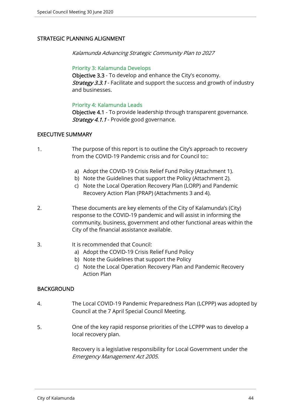#### STRATEGIC PLANNING ALIGNMENT

Kalamunda Advancing Strategic Community Plan to 2027

#### Priority 3: Kalamunda Develops

Objective 3.3 - To develop and enhance the City's economy. **Strategy 3.3.1** - Facilitate and support the success and growth of industry and businesses.

#### Priority 4: Kalamunda Leads

Objective 4.1 - To provide leadership through transparent governance. Strategy 4.1.1 - Provide good governance.

#### EXECUTIVE SUMMARY

- 1. The purpose of this report is to outline the City's approach to recovery from the COVID-19 Pandemic crisis and for Council to::
	- a) Adopt the COVID-19 Crisis Relief Fund Policy (Attachment 1).
	- b) Note the Guidelines that support the Policy (Attachment 2).
	- c) Note the Local Operation Recovery Plan (LORP) and Pandemic Recovery Action Plan (PRAP) (Attachments 3 and 4).
- 2. These documents are key elements of the City of Kalamunda's (City) response to the COVID-19 pandemic and will assist in informing the community, business, government and other functional areas within the City of the financial assistance available.

#### 3. It is recommended that Council:

- a) Adopt the COVID-19 Crisis Relief Fund Policy
- b) Note the Guidelines that support the Policy
- c) Note the Local Operation Recovery Plan and Pandemic Recovery Action Plan

#### **BACKGROUND**

- 4. The Local COVID-19 Pandemic Preparedness Plan (LCPPP) was adopted by Council at the 7 April Special Council Meeting.
- 5. One of the key rapid response priorities of the LCPPP was to develop a local recovery plan.

Recovery is a legislative responsibility for Local Government under the Emergency Management Act 2005.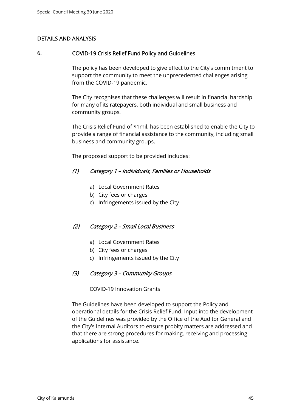#### DETAILS AND ANALYSIS

#### 6. COVID-19 Crisis Relief Fund Policy and Guidelines

The policy has been developed to give effect to the City's commitment to support the community to meet the unprecedented challenges arising from the COVID-19 pandemic.

The City recognises that these challenges will result in financial hardship for many of its ratepayers, both individual and small business and community groups.

The Crisis Relief Fund of \$1mil, has been established to enable the City to provide a range of financial assistance to the community, including small business and community groups.

The proposed support to be provided includes:

#### (1) Category 1 – Individuals, Families or Households

- a) Local Government Rates
- b) City fees or charges
- c) Infringements issued by the City

#### (2) Category 2 – Small Local Business

- a) Local Government Rates
- b) City fees or charges
- c) Infringements issued by the City

#### (3) Category 3 – Community Groups

COVID-19 Innovation Grants

The Guidelines have been developed to support the Policy and operational details for the Crisis Relief Fund. Input into the development of the Guidelines was provided by the Office of the Auditor General and the City's Internal Auditors to ensure probity matters are addressed and that there are strong procedures for making, receiving and processing applications for assistance.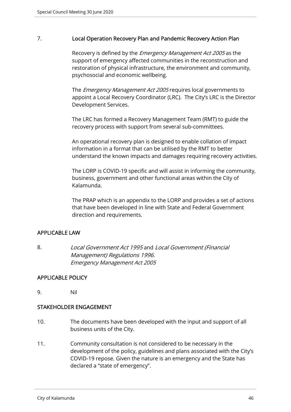#### 7. Local Operation Recovery Plan and Pandemic Recovery Action Plan

Recovery is defined by the *Emergency Management Act 2005* as the support of emergency affected communities in the reconstruction and restoration of physical infrastructure, the environment and community, psychosocial and economic wellbeing.

The *Emergency Management Act 2005* requires local governments to appoint a Local Recovery Coordinator (LRC). The City's LRC is the Director Development Services.

The LRC has formed a Recovery Management Team (RMT) to guide the recovery process with support from several sub-committees.

An operational recovery plan is designed to enable collation of impact information in a format that can be utilised by the RMT to better understand the known impacts and damages requiring recovery activities.

The LORP is COVID-19 specific and will assist in informing the community, business, government and other functional areas within the City of Kalamunda.

The PRAP which is an appendix to the LORP and provides a set of actions that have been developed in line with State and Federal Government direction and requirements.

#### APPLICABLE LAW

8. Local Government Act 1995 and Local Government (Financial Management) Regulations 1996. Emergency Management Act 2005

#### APPLICABLE POLICY

9. Nil

#### STAKEHOLDER ENGAGEMENT

- 10. The documents have been developed with the input and support of all business units of the City.
- 11. Community consultation is not considered to be necessary in the development of the policy, guidelines and plans associated with the City's COVID-19 repose. Given the nature is an emergency and the State has declared a "state of emergency".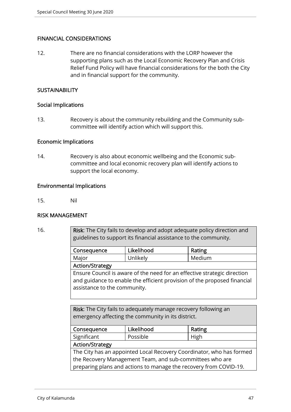#### FINANCIAL CONSIDERATIONS

12. There are no financial considerations with the LORP however the supporting plans such as the Local Economic Recovery Plan and Crisis Relief Fund Policy will have financial considerations for the both the City and in financial support for the community.

#### **SUSTAINABILITY**

#### Social Implications

13. Recovery is about the community rebuilding and the Community subcommittee will identify action which will support this.

#### Economic Implications

14. Recovery is also about economic wellbeing and the Economic subcommittee and local economic recovery plan will identify actions to support the local economy.

#### Environmental Implications

15. Nil

#### RISK MANAGEMENT

16. **Risk:** The City fails to develop and adopt adequate policy direction and guidelines to support its financial assistance to the community.

| Consequence                                                              | Likelihood | Rating |  |  |
|--------------------------------------------------------------------------|------------|--------|--|--|
| Major                                                                    | Unlikely   | Medium |  |  |
| <b>Action/Strategy</b>                                                   |            |        |  |  |
| Ensure Council is aware of the need for an effective strategic direction |            |        |  |  |
| and guidance to enable the efficient provision of the proposed financial |            |        |  |  |
| assistance to the community.                                             |            |        |  |  |

Risk: The City fails to adequately manage recovery following an emergency affecting the community in its district.

| Consequence                                                          | Likelihood | Rating |  |  |
|----------------------------------------------------------------------|------------|--------|--|--|
| Significant                                                          | Possible   | High   |  |  |
| <b>Action/Strategy</b>                                               |            |        |  |  |
| The City has an appointed Local Recovery Coordinator, who has formed |            |        |  |  |
| the Recovery Management Team, and sub-committees who are             |            |        |  |  |
| preparing plans and actions to manage the recovery from COVID-19.    |            |        |  |  |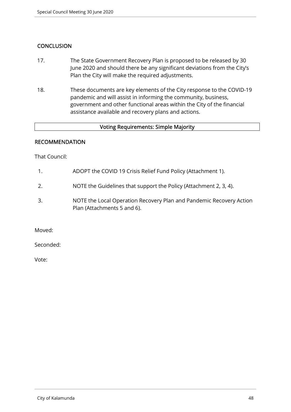#### **CONCLUSION**

- 17. The State Government Recovery Plan is proposed to be released by 30 June 2020 and should there be any significant deviations from the City's Plan the City will make the required adjustments.
- 18. These documents are key elements of the City response to the COVID-19 pandemic and will assist in informing the community, business, government and other functional areas within the City of the financial assistance available and recovery plans and actions.

#### Voting Requirements: Simple Majority

#### **RECOMMENDATION**

That Council:

- 1. ADOPT the COVID 19 Crisis Relief Fund Policy (Attachment 1).
- 2. NOTE the Guidelines that support the Policy (Attachment 2, 3, 4).
- 3. NOTE the Local Operation Recovery Plan and Pandemic Recovery Action Plan (Attachments 5 and 6).

Moved:

Seconded:

Vote: